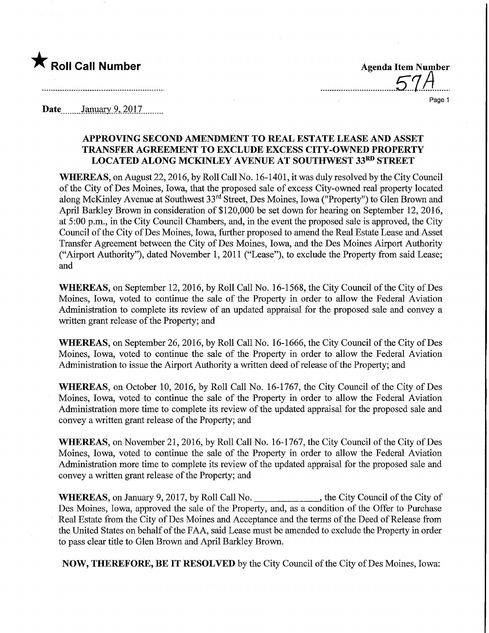

Page 1

Date January 9, 2017

## APPROVING SECOND AMENDMENT TO REAL ESTATE LEASE AND ASSET TRANSFER AGREEMENT TO EXCLUDE EXCESS CITY-OWNED PROPERTY LOCATED ALONG MCKINLEY AVENUE AT SOUTHWEST 33RD STREET

WHEREAS, on August 22,2016, by Roll Call No. 16-1401, it was duly resolved by the City Council of the City of Des Moines, Iowa, that the proposed sale of excess City-owned real property located along McKinley Avenue at Southwest 33rd Street, Des Moines, Iowa ("Property") to Glen Brown and April Barkley Brown in consideration of \$120,000 be set down for hearing on September 12, 2016, at 5:00 p.m., in the City Council Chambers, and, in the event the proposed sale is approved, the City Council of the City of Des Moines, Iowa, further proposed to amend the Real Estate Lease and Asset Transfer Agreement between the City of Des Moines, Iowa, and the Des Moines Airport Authority ("Airport Authority"), dated November 1, 2011 ("Lease"), to exclude the Property from said Lease; and

WHEREAS, on September 12, 2016, by Roll Call No. 16-1568, the City Council of the City of Des Moines, Iowa, voted to continue the sale of the Property in order to allow the Federal Aviation Administration to complete its review of an updated appraisal for the proposed sale and convey a written grant release of the Property; and

WHEREAS, on September 26, 2016, by Roll Call No. 16-1666, the City Council of the City of Des Moines, Iowa, voted to continue the sale of the Property in order to allow the Federal Aviation Administration to issue the Airport Authority a written deed of release of the Property; and

WHEREAS, on October 10, 2016, by Roll Call No. 16-1767, the City Council of the City of Des Moines, Iowa, voted to continue the sale of the Property in order to allow the Federal Aviation Administration more time to complete its review of the updated appraisal for the proposed sale and convey a written grant release of the Property; and

WHEREAS, on November 21, 2016, by Roll Call No. 16-1767, the City Council of the City of Des Moines, Iowa, voted to continue the sale of the Property in order to allow the Federal Aviation Administration more time to complete its review of the updated appraisal for the proposed sale and convey a written grant release of the Property; and

WHEREAS, on January 9, 2017, by Roll Call No. \_\_\_\_\_\_\_\_\_\_\_\_\_\_, the City Council of the City of Des Moines, Iowa, approved the sale of the Property, and, as a condition of the Offer to Purchase Real Estate from the City of Des Moines and Acceptance and the terms of the Deed of Release from the United States on behalf of the FAA, said Lease must be amended to exclude the Property in order to pass clear title to Glen Brown and April Barkley Brown.

NOW, THEREFORE, BE IT RESOLVED by the City Council of the City of Des Moines, Iowa: